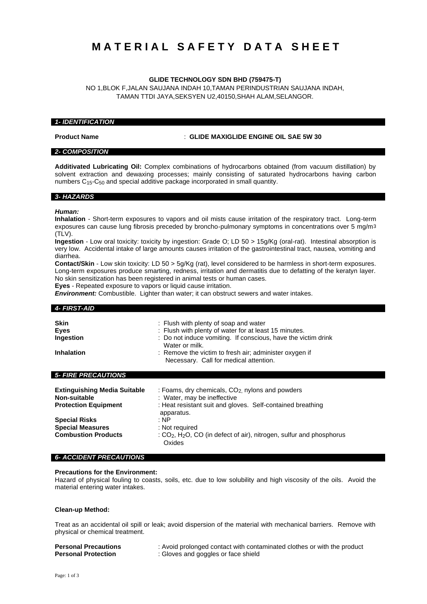# **M A T E R I A L S A F E T Y D A T A S H E E T**

## **GLIDE TECHNOLOGY SDN BHD (759475-T)**

NO 1,BLOK F,JALAN SAUJANA INDAH 10,TAMAN PERINDUSTRIAN SAUJANA INDAH, TAMAN TTDI JAYA,SEKSYEN U2,40150,SHAH ALAM,SELANGOR.

### *1- IDENTIFICATION*

**Product Name** : **GLIDE MAXIGLIDE ENGINE OIL SAE 5W 30**

# *2- COMPOSITION*

**Additivated Lubricating Oil:** Complex combinations of hydrocarbons obtained (from vacuum distillation) by solvent extraction and dewaxing processes; mainly consisting of saturated hydrocarbons having carbon numbers C15-C50 and special additive package incorporated in small quantity.

### *3- HAZARDS*

### *Human:*

**Inhalation** - Short-term exposures to vapors and oil mists cause irritation of the respiratory tract. Long-term exposures can cause lung fibrosis preceded by broncho-pulmonary symptoms in concentrations over 5 mg/m3  $(TIV)$ 

**Ingestion** - Low oral toxicity: toxicity by ingestion: Grade O; LD 50 > 15g/Kg (oral-rat). Intestinal absorption is very low. Accidental intake of large amounts causes irritation of the gastrointestinal tract, nausea, vomiting and diarrhea.

**Contact/Skin** - Low skin toxicity: LD 50 > 5g/Kg (rat), level considered to be harmless in short-term exposures. Long-term exposures produce smarting, redness, irritation and dermatitis due to defatting of the keratyn layer. No skin sensitization has been registered in animal tests or human cases.

**Eyes** - Repeated exposure to vapors or liquid cause irritation.

*Environment:* Combustible. Lighter than water; it can obstruct sewers and water intakes.

| <b>4- FIRST-AID</b>                                                                |                                                                                                                                                                                                                                                                                       |
|------------------------------------------------------------------------------------|---------------------------------------------------------------------------------------------------------------------------------------------------------------------------------------------------------------------------------------------------------------------------------------|
| <b>Skin</b><br><b>Eyes</b><br>Ingestion<br><b>Inhalation</b>                       | : Flush with plenty of soap and water<br>: Flush with plenty of water for at least 15 minutes.<br>: Do not induce vomiting. If conscious, have the victim drink<br>Water or milk.<br>: Remove the victim to fresh air; administer oxygen if<br>Necessary. Call for medical attention. |
| <b>5- FIRE PRECAUTIONS</b>                                                         |                                                                                                                                                                                                                                                                                       |
| <b>Extinguishing Media Suitable</b><br>Non-suitable<br><b>Protection Equipment</b> | : Foams, dry chemicals, CO <sub>2</sub> nylons and powders<br>: Water, may be ineffective<br>: Heat resistant suit and gloves. Self-contained breathing<br>apparatus.                                                                                                                 |
| <b>Special Risks</b><br><b>Special Measures</b><br><b>Combustion Products</b>      | : NP<br>: Not required<br>: $CO2$ , H <sub>2</sub> O, CO (in defect of air), nitrogen, sulfur and phosphorus<br>Oxides                                                                                                                                                                |

### *6- ACCIDENT PRECAUTIONS*

### **Precautions for the Environment:**

Hazard of physical fouling to coasts, soils, etc. due to low solubility and high viscosity of the oils. Avoid the material entering water intakes.

### **Clean-up Method:**

Treat as an accidental oil spill or leak; avoid dispersion of the material with mechanical barriers. Remove with physical or chemical treatment.

|  | <b>Personal Precautions</b> |  |
|--|-----------------------------|--|
|  |                             |  |

: Avoid prolonged contact with contaminated clothes or with the product **Personal Protection** : Gloves and goggles or face shield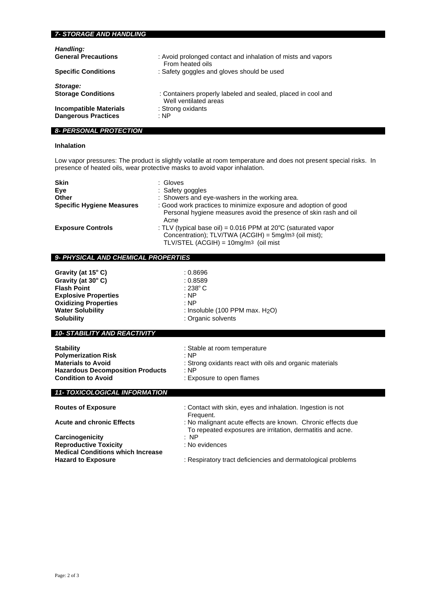# *7- STORAGE AND HANDLING Handling:* **General Precautions** : Avoid prolonged contact and inhalation of mists and vapors From heated oils **Specific Conditions** : Safety goggles and gloves should be used *Storage:* **Storage Conditions** : Containers properly labeled and sealed, placed in cool and Well ventilated areas **Incompatible Materials** : Strong oxidants<br> **Dangerous Practices** : NP **Dangerous Practices**

# *8- PERSONAL PROTECTION*

# **Inhalation**

Low vapor pressures: The product is slightly volatile at room temperature and does not present special risks. In presence of heated oils, wear protective masks to avoid vapor inhalation.

| <b>Skin</b><br>Eve<br>Other      | : Gloves<br>: Safety goggles<br>: Showers and eye-washers in the working area.                                                                                                             |
|----------------------------------|--------------------------------------------------------------------------------------------------------------------------------------------------------------------------------------------|
| <b>Specific Hygiene Measures</b> | : Good work practices to minimize exposure and adoption of good<br>Personal hygiene measures avoid the presence of skin rash and oil<br>Acne                                               |
| <b>Exposure Controls</b>         | : TLV (typical base oil) = $0.016$ PPM at 20 $^{\circ}$ C (saturated vapor<br>Concentration); TLV/TWA (ACGIH) = 5mg/m <sup>3</sup> (oil mist);<br>$TLV/STEL$ (ACGIH) = $10mg/m3$ (oil mist |

# *9- PHYSICAL AND CHEMICAL PROPERTIES*

| Gravity (at 15° C)                  | : 0.8696                                    |
|-------------------------------------|---------------------------------------------|
| Gravity (at 30°C)                   | : 0.8589                                    |
| <b>Flash Point</b>                  | $:238^{\circ}$ C                            |
| <b>Explosive Properties</b>         | : NP                                        |
| <b>Oxidizing Properties</b>         | : NP                                        |
| <b>Water Solubility</b>             | : Insoluble (100 PPM max. H <sub>2</sub> O) |
| <b>Solubility</b>                   | : Organic solvents                          |
|                                     |                                             |
| <b>10- STABILITY AND REACTIVITY</b> |                                             |
|                                     |                                             |

| <b>Stability</b>                        | : Stable at room temperature                            |
|-----------------------------------------|---------------------------------------------------------|
| <b>Polymerization Risk</b>              | : NP                                                    |
| <b>Materials to Avoid</b>               | : Strong oxidants react with oils and organic materials |
| <b>Hazardous Decomposition Products</b> | : NP                                                    |
| <b>Condition to Avoid</b>               | : Exposure to open flames                               |
|                                         |                                                         |

# *11- TOXICOLOGICAL INFORMATION*

| <u>II-TOXICOLOGICAL INFORMATION</u>      |                                                                                                                           |
|------------------------------------------|---------------------------------------------------------------------------------------------------------------------------|
| <b>Routes of Exposure</b>                | : Contact with skin, eyes and inhalation. Ingestion is not<br>Frequent.                                                   |
| <b>Acute and chronic Effects</b>         | : No malignant acute effects are known. Chronic effects due<br>To repeated exposures are irritation, dermatitis and acne. |
| Carcinogenicity                          | : NP                                                                                                                      |
| <b>Reproductive Toxicity</b>             | : No evidences                                                                                                            |
| <b>Medical Conditions which Increase</b> |                                                                                                                           |
| <b>Hazard to Exposure</b>                | : Respiratory tract deficiencies and dermatological problems                                                              |
|                                          |                                                                                                                           |